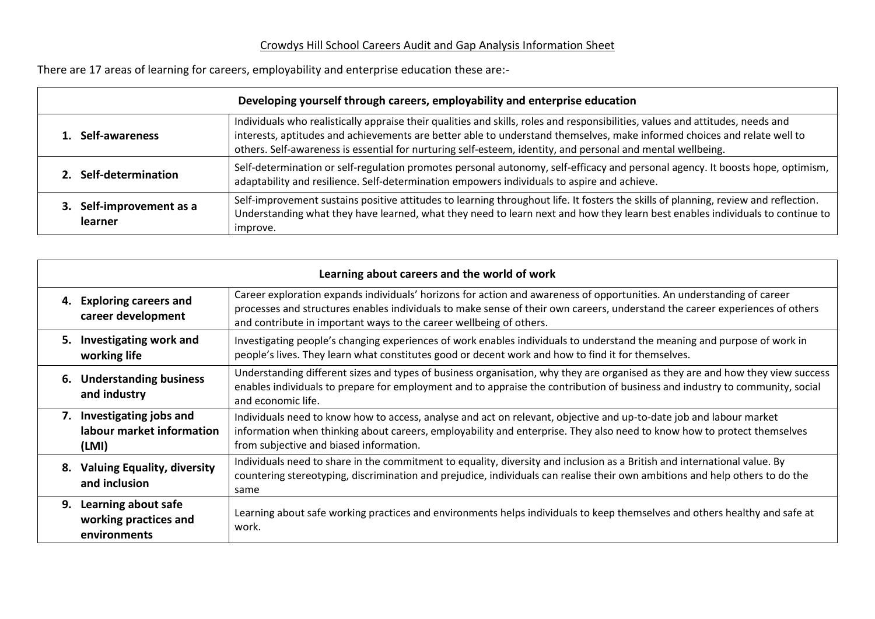## Crowdys Hill School Careers Audit and Gap Analysis Information Sheet

There are 17 areas of learning for careers, employability and enterprise education these are:-

| Developing yourself through careers, employability and enterprise education |                                                                                                                                                                                                                                                                                                                                                                           |  |  |  |
|-----------------------------------------------------------------------------|---------------------------------------------------------------------------------------------------------------------------------------------------------------------------------------------------------------------------------------------------------------------------------------------------------------------------------------------------------------------------|--|--|--|
| Self-awareness                                                              | Individuals who realistically appraise their qualities and skills, roles and responsibilities, values and attitudes, needs and<br>interests, aptitudes and achievements are better able to understand themselves, make informed choices and relate well to<br>others. Self-awareness is essential for nurturing self-esteem, identity, and personal and mental wellbeing. |  |  |  |
| 2. Self-determination                                                       | Self-determination or self-regulation promotes personal autonomy, self-efficacy and personal agency. It boosts hope, optimism,<br>adaptability and resilience. Self-determination empowers individuals to aspire and achieve.                                                                                                                                             |  |  |  |
| Self-improvement as a<br>learner                                            | Self-improvement sustains positive attitudes to learning throughout life. It fosters the skills of planning, review and reflection.<br>Understanding what they have learned, what they need to learn next and how they learn best enables individuals to continue to<br>improve.                                                                                          |  |  |  |

| Learning about careers and the world of work                    |                                                                                                                                                                                                                                                                                                                               |  |  |  |  |
|-----------------------------------------------------------------|-------------------------------------------------------------------------------------------------------------------------------------------------------------------------------------------------------------------------------------------------------------------------------------------------------------------------------|--|--|--|--|
| 4. Exploring careers and<br>career development                  | Career exploration expands individuals' horizons for action and awareness of opportunities. An understanding of career<br>processes and structures enables individuals to make sense of their own careers, understand the career experiences of others<br>and contribute in important ways to the career wellbeing of others. |  |  |  |  |
| 5. Investigating work and<br>working life                       | Investigating people's changing experiences of work enables individuals to understand the meaning and purpose of work in<br>people's lives. They learn what constitutes good or decent work and how to find it for themselves.                                                                                                |  |  |  |  |
| 6. Understanding business<br>and industry                       | Understanding different sizes and types of business organisation, why they are organised as they are and how they view success<br>enables individuals to prepare for employment and to appraise the contribution of business and industry to community, social<br>and economic life.                                          |  |  |  |  |
| 7. Investigating jobs and<br>labour market information<br>(LMI) | Individuals need to know how to access, analyse and act on relevant, objective and up-to-date job and labour market<br>information when thinking about careers, employability and enterprise. They also need to know how to protect themselves<br>from subjective and biased information.                                     |  |  |  |  |
| 8. Valuing Equality, diversity<br>and inclusion                 | Individuals need to share in the commitment to equality, diversity and inclusion as a British and international value. By<br>countering stereotyping, discrimination and prejudice, individuals can realise their own ambitions and help others to do the<br>same                                                             |  |  |  |  |
| 9. Learning about safe<br>working practices and<br>environments | Learning about safe working practices and environments helps individuals to keep themselves and others healthy and safe at<br>work.                                                                                                                                                                                           |  |  |  |  |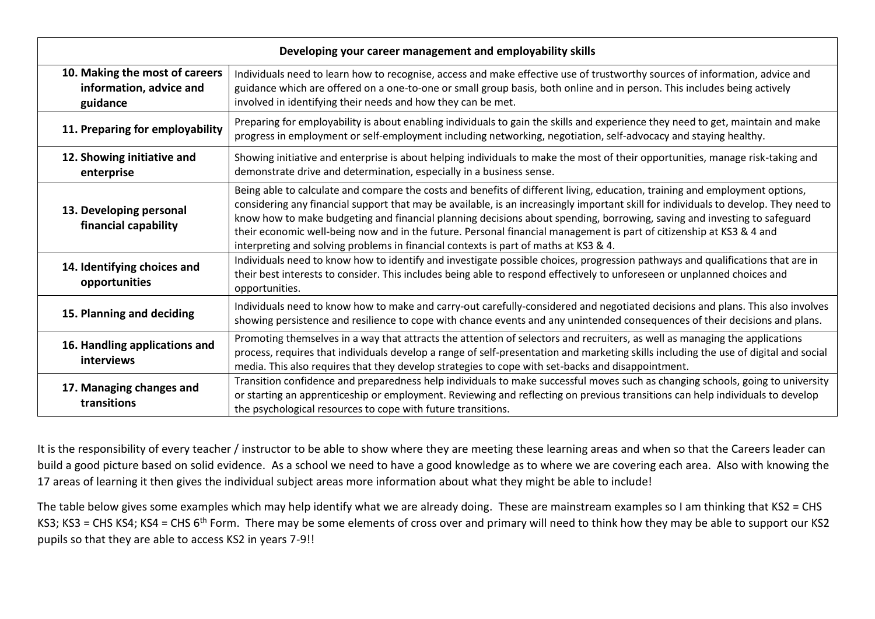| Developing your career management and employability skills            |                                                                                                                                                                                                                                                                                                                                                                                                                                                                                                                                                                                                                 |  |  |  |
|-----------------------------------------------------------------------|-----------------------------------------------------------------------------------------------------------------------------------------------------------------------------------------------------------------------------------------------------------------------------------------------------------------------------------------------------------------------------------------------------------------------------------------------------------------------------------------------------------------------------------------------------------------------------------------------------------------|--|--|--|
| 10. Making the most of careers<br>information, advice and<br>guidance | Individuals need to learn how to recognise, access and make effective use of trustworthy sources of information, advice and<br>guidance which are offered on a one-to-one or small group basis, both online and in person. This includes being actively<br>involved in identifying their needs and how they can be met.                                                                                                                                                                                                                                                                                         |  |  |  |
| 11. Preparing for employability                                       | Preparing for employability is about enabling individuals to gain the skills and experience they need to get, maintain and make<br>progress in employment or self-employment including networking, negotiation, self-advocacy and staying healthy.                                                                                                                                                                                                                                                                                                                                                              |  |  |  |
| 12. Showing initiative and<br>enterprise                              | Showing initiative and enterprise is about helping individuals to make the most of their opportunities, manage risk-taking and<br>demonstrate drive and determination, especially in a business sense.                                                                                                                                                                                                                                                                                                                                                                                                          |  |  |  |
| 13. Developing personal<br>financial capability                       | Being able to calculate and compare the costs and benefits of different living, education, training and employment options,<br>considering any financial support that may be available, is an increasingly important skill for individuals to develop. They need to<br>know how to make budgeting and financial planning decisions about spending, borrowing, saving and investing to safeguard<br>their economic well-being now and in the future. Personal financial management is part of citizenship at KS3 & 4 and<br>interpreting and solving problems in financial contexts is part of maths at KS3 & 4. |  |  |  |
| 14. Identifying choices and<br>opportunities                          | Individuals need to know how to identify and investigate possible choices, progression pathways and qualifications that are in<br>their best interests to consider. This includes being able to respond effectively to unforeseen or unplanned choices and<br>opportunities.                                                                                                                                                                                                                                                                                                                                    |  |  |  |
| 15. Planning and deciding                                             | Individuals need to know how to make and carry-out carefully-considered and negotiated decisions and plans. This also involves<br>showing persistence and resilience to cope with chance events and any unintended consequences of their decisions and plans.                                                                                                                                                                                                                                                                                                                                                   |  |  |  |
| 16. Handling applications and<br>interviews                           | Promoting themselves in a way that attracts the attention of selectors and recruiters, as well as managing the applications<br>process, requires that individuals develop a range of self-presentation and marketing skills including the use of digital and social<br>media. This also requires that they develop strategies to cope with set-backs and disappointment.                                                                                                                                                                                                                                        |  |  |  |
| 17. Managing changes and<br>transitions                               | Transition confidence and preparedness help individuals to make successful moves such as changing schools, going to university<br>or starting an apprenticeship or employment. Reviewing and reflecting on previous transitions can help individuals to develop<br>the psychological resources to cope with future transitions.                                                                                                                                                                                                                                                                                 |  |  |  |

It is the responsibility of every teacher / instructor to be able to show where they are meeting these learning areas and when so that the Careers leader can build a good picture based on solid evidence. As a school we need to have a good knowledge as to where we are covering each area. Also with knowing the 17 areas of learning it then gives the individual subject areas more information about what they might be able to include!

The table below gives some examples which may help identify what we are already doing. These are mainstream examples so I am thinking that KS2 = CHS KS3; KS3 = CHS KS4; KS4 = CHS 6<sup>th</sup> Form. There may be some elements of cross over and primary will need to think how they may be able to support our KS2 pupils so that they are able to access KS2 in years 7-9!!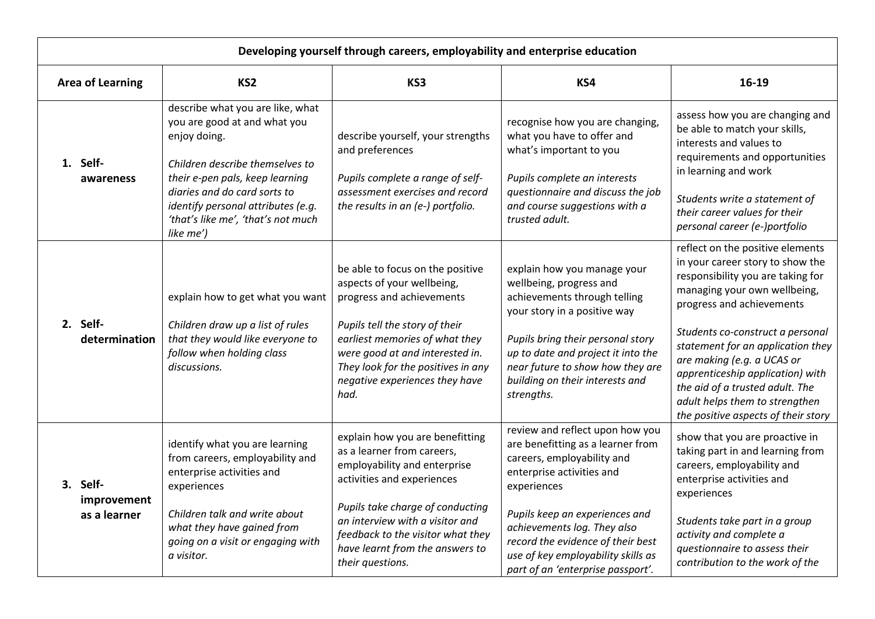| Developing yourself through careers, employability and enterprise education |                                         |                                                                                                                                                                                                                                                                                 |                                                                                                                                                                                                                                                                                    |                                                                                                                                                                                                                                                                                        |                                                                                                                                                                                                                                                                                                                                                                                                                               |
|-----------------------------------------------------------------------------|-----------------------------------------|---------------------------------------------------------------------------------------------------------------------------------------------------------------------------------------------------------------------------------------------------------------------------------|------------------------------------------------------------------------------------------------------------------------------------------------------------------------------------------------------------------------------------------------------------------------------------|----------------------------------------------------------------------------------------------------------------------------------------------------------------------------------------------------------------------------------------------------------------------------------------|-------------------------------------------------------------------------------------------------------------------------------------------------------------------------------------------------------------------------------------------------------------------------------------------------------------------------------------------------------------------------------------------------------------------------------|
|                                                                             | <b>Area of Learning</b>                 | KS <sub>2</sub>                                                                                                                                                                                                                                                                 | KS3                                                                                                                                                                                                                                                                                | KS4                                                                                                                                                                                                                                                                                    | 16-19                                                                                                                                                                                                                                                                                                                                                                                                                         |
|                                                                             | 1. Self-<br>awareness                   | describe what you are like, what<br>you are good at and what you<br>enjoy doing.<br>Children describe themselves to<br>their e-pen pals, keep learning<br>diaries and do card sorts to<br>identify personal attributes (e.g.<br>'that's like me', 'that's not much<br>like me') | describe yourself, your strengths<br>and preferences<br>Pupils complete a range of self-<br>assessment exercises and record<br>the results in an (e-) portfolio.                                                                                                                   | recognise how you are changing,<br>what you have to offer and<br>what's important to you<br>Pupils complete an interests<br>questionnaire and discuss the job<br>and course suggestions with a<br>trusted adult.                                                                       | assess how you are changing and<br>be able to match your skills,<br>interests and values to<br>requirements and opportunities<br>in learning and work<br>Students write a statement of<br>their career values for their<br>personal career (e-)portfolio                                                                                                                                                                      |
|                                                                             | 2. Self-<br>determination               | explain how to get what you want<br>Children draw up a list of rules<br>that they would like everyone to<br>follow when holding class<br>discussions.                                                                                                                           | be able to focus on the positive<br>aspects of your wellbeing,<br>progress and achievements<br>Pupils tell the story of their<br>earliest memories of what they<br>were good at and interested in.<br>They look for the positives in any<br>negative experiences they have<br>had. | explain how you manage your<br>wellbeing, progress and<br>achievements through telling<br>your story in a positive way<br>Pupils bring their personal story<br>up to date and project it into the<br>near future to show how they are<br>building on their interests and<br>strengths. | reflect on the positive elements<br>in your career story to show the<br>responsibility you are taking for<br>managing your own wellbeing,<br>progress and achievements<br>Students co-construct a personal<br>statement for an application they<br>are making (e.g. a UCAS or<br>apprenticeship application) with<br>the aid of a trusted adult. The<br>adult helps them to strengthen<br>the positive aspects of their story |
|                                                                             | 3. Self-<br>improvement<br>as a learner | identify what you are learning<br>from careers, employability and<br>enterprise activities and<br>experiences                                                                                                                                                                   | explain how you are benefitting<br>as a learner from careers,<br>employability and enterprise<br>activities and experiences<br>Pupils take charge of conducting                                                                                                                    | review and reflect upon how you<br>are benefitting as a learner from<br>careers, employability and<br>enterprise activities and<br>experiences                                                                                                                                         | show that you are proactive in<br>taking part in and learning from<br>careers, employability and<br>enterprise activities and<br>experiences                                                                                                                                                                                                                                                                                  |
|                                                                             |                                         | Children talk and write about<br>what they have gained from<br>going on a visit or engaging with<br>a visitor.                                                                                                                                                                  | an interview with a visitor and<br>feedback to the visitor what they<br>have learnt from the answers to<br>their questions.                                                                                                                                                        | Pupils keep an experiences and<br>achievements log. They also<br>record the evidence of their best<br>use of key employability skills as<br>part of an 'enterprise passport'.                                                                                                          | Students take part in a group<br>activity and complete a<br>questionnaire to assess their<br>contribution to the work of the                                                                                                                                                                                                                                                                                                  |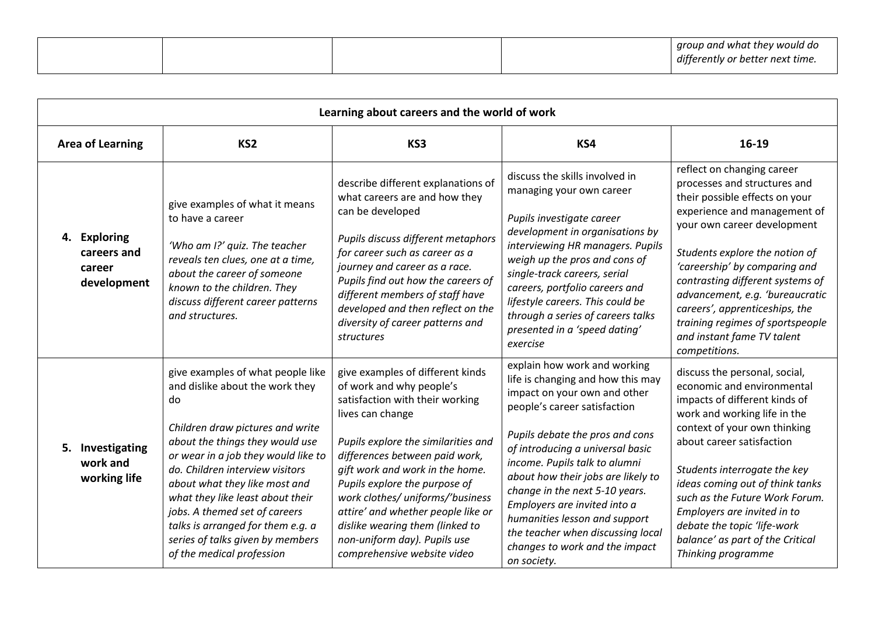| Learning about careers and the world of work         |                                                                                                                                                                                                                                                                                                                                                                                                                                         |                                                                                                                                                                                                                                                                                                                                                                                                                                              |                                                                                                                                                                                                                                                                                                                                                                                                                                                                          |                                                                                                                                                                                                                                                                                                                                                                                                                            |  |
|------------------------------------------------------|-----------------------------------------------------------------------------------------------------------------------------------------------------------------------------------------------------------------------------------------------------------------------------------------------------------------------------------------------------------------------------------------------------------------------------------------|----------------------------------------------------------------------------------------------------------------------------------------------------------------------------------------------------------------------------------------------------------------------------------------------------------------------------------------------------------------------------------------------------------------------------------------------|--------------------------------------------------------------------------------------------------------------------------------------------------------------------------------------------------------------------------------------------------------------------------------------------------------------------------------------------------------------------------------------------------------------------------------------------------------------------------|----------------------------------------------------------------------------------------------------------------------------------------------------------------------------------------------------------------------------------------------------------------------------------------------------------------------------------------------------------------------------------------------------------------------------|--|
| <b>Area of Learning</b>                              | KS <sub>2</sub>                                                                                                                                                                                                                                                                                                                                                                                                                         | KS3                                                                                                                                                                                                                                                                                                                                                                                                                                          | KS4                                                                                                                                                                                                                                                                                                                                                                                                                                                                      | 16-19                                                                                                                                                                                                                                                                                                                                                                                                                      |  |
| 4. Exploring<br>careers and<br>career<br>development | give examples of what it means<br>to have a career<br>'Who am I?' quiz. The teacher<br>reveals ten clues, one at a time,<br>about the career of someone<br>known to the children. They<br>discuss different career patterns<br>and structures.                                                                                                                                                                                          | describe different explanations of<br>what careers are and how they<br>can be developed<br>Pupils discuss different metaphors<br>for career such as career as a<br>journey and career as a race.<br>Pupils find out how the careers of<br>different members of staff have<br>developed and then reflect on the<br>diversity of career patterns and<br>structures                                                                             | discuss the skills involved in<br>managing your own career<br>Pupils investigate career<br>development in organisations by<br>interviewing HR managers. Pupils<br>weigh up the pros and cons of<br>single-track careers, serial<br>careers, portfolio careers and<br>lifestyle careers. This could be<br>through a series of careers talks<br>presented in a 'speed dating'<br>exercise                                                                                  | reflect on changing career<br>processes and structures and<br>their possible effects on your<br>experience and management of<br>your own career development<br>Students explore the notion of<br>'careership' by comparing and<br>contrasting different systems of<br>advancement, e.g. 'bureaucratic<br>careers', apprenticeships, the<br>training regimes of sportspeople<br>and instant fame TV talent<br>competitions. |  |
| 5. Investigating<br>work and<br>working life         | give examples of what people like<br>and dislike about the work they<br>do<br>Children draw pictures and write<br>about the things they would use<br>or wear in a job they would like to<br>do. Children interview visitors<br>about what they like most and<br>what they like least about their<br>jobs. A themed set of careers<br>talks is arranged for them e.g. a<br>series of talks given by members<br>of the medical profession | give examples of different kinds<br>of work and why people's<br>satisfaction with their working<br>lives can change<br>Pupils explore the similarities and<br>differences between paid work,<br>gift work and work in the home.<br>Pupils explore the purpose of<br>work clothes/ uniforms/'business<br>attire' and whether people like or<br>dislike wearing them (linked to<br>non-uniform day). Pupils use<br>comprehensive website video | explain how work and working<br>life is changing and how this may<br>impact on your own and other<br>people's career satisfaction<br>Pupils debate the pros and cons<br>of introducing a universal basic<br>income. Pupils talk to alumni<br>about how their jobs are likely to<br>change in the next 5-10 years.<br>Employers are invited into a<br>humanities lesson and support<br>the teacher when discussing local<br>changes to work and the impact<br>on society. | discuss the personal, social,<br>economic and environmental<br>impacts of different kinds of<br>work and working life in the<br>context of your own thinking<br>about career satisfaction<br>Students interrogate the key<br>ideas coming out of think tanks<br>such as the Future Work Forum.<br>Employers are invited in to<br>debate the topic 'life-work<br>balance' as part of the Critical<br>Thinking programme     |  |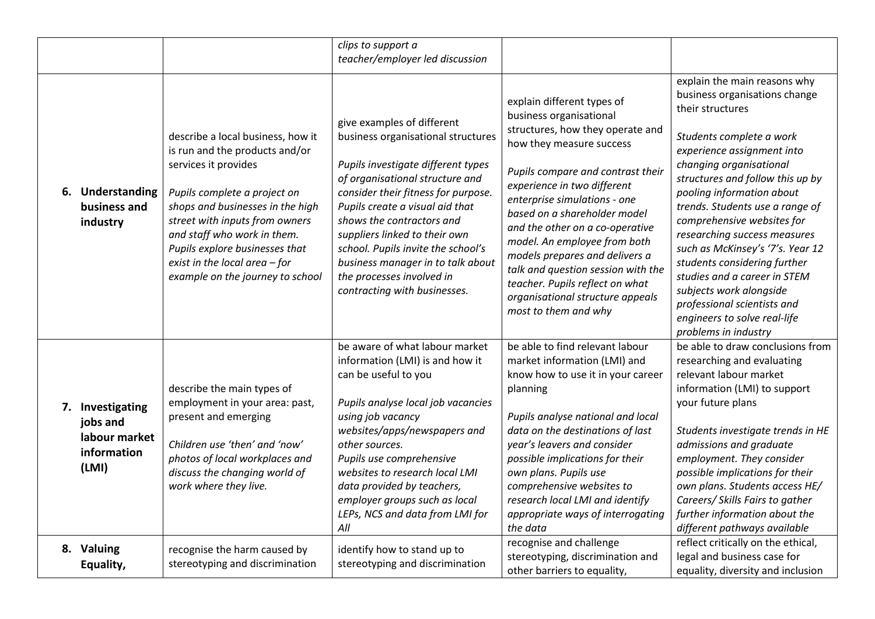|                                                                       |                                                                                                                                                                                                                                                                                                                                           | clips to support a                                                                                                                                                                                                                                                                                                                                                                                                        |                                                                                                                                                                                                                                                                                                                                                                                                                                                                                                     |                                                                                                                                                                                                                                                                                                                                                                                                                                                                                                                                                                |
|-----------------------------------------------------------------------|-------------------------------------------------------------------------------------------------------------------------------------------------------------------------------------------------------------------------------------------------------------------------------------------------------------------------------------------|---------------------------------------------------------------------------------------------------------------------------------------------------------------------------------------------------------------------------------------------------------------------------------------------------------------------------------------------------------------------------------------------------------------------------|-----------------------------------------------------------------------------------------------------------------------------------------------------------------------------------------------------------------------------------------------------------------------------------------------------------------------------------------------------------------------------------------------------------------------------------------------------------------------------------------------------|----------------------------------------------------------------------------------------------------------------------------------------------------------------------------------------------------------------------------------------------------------------------------------------------------------------------------------------------------------------------------------------------------------------------------------------------------------------------------------------------------------------------------------------------------------------|
|                                                                       |                                                                                                                                                                                                                                                                                                                                           | teacher/employer led discussion                                                                                                                                                                                                                                                                                                                                                                                           |                                                                                                                                                                                                                                                                                                                                                                                                                                                                                                     |                                                                                                                                                                                                                                                                                                                                                                                                                                                                                                                                                                |
| Understanding<br>6.<br>business and<br>industry                       | describe a local business, how it<br>is run and the products and/or<br>services it provides<br>Pupils complete a project on<br>shops and businesses in the high<br>street with inputs from owners<br>and staff who work in them.<br>Pupils explore businesses that<br>exist in the local area $-$ for<br>example on the journey to school | give examples of different<br>business organisational structures<br>Pupils investigate different types<br>of organisational structure and<br>consider their fitness for purpose.<br>Pupils create a visual aid that<br>shows the contractors and<br>suppliers linked to their own<br>school. Pupils invite the school's<br>business manager in to talk about<br>the processes involved in<br>contracting with businesses. | explain different types of<br>business organisational<br>structures, how they operate and<br>how they measure success<br>Pupils compare and contrast their<br>experience in two different<br>enterprise simulations - one<br>based on a shareholder model<br>and the other on a co-operative<br>model. An employee from both<br>models prepares and delivers a<br>talk and question session with the<br>teacher. Pupils reflect on what<br>organisational structure appeals<br>most to them and why | explain the main reasons why<br>business organisations change<br>their structures<br>Students complete a work<br>experience assignment into<br>changing organisational<br>structures and follow this up by<br>pooling information about<br>trends. Students use a range of<br>comprehensive websites for<br>researching success measures<br>such as McKinsey's '7's. Year 12<br>students considering further<br>studies and a career in STEM<br>subjects work alongside<br>professional scientists and<br>engineers to solve real-life<br>problems in industry |
| 7. Investigating<br>jobs and<br>labour market<br>information<br>(LMI) | describe the main types of<br>employment in your area: past,<br>present and emerging<br>Children use 'then' and 'now'<br>photos of local workplaces and<br>discuss the changing world of<br>work where they live.                                                                                                                         | be aware of what labour market<br>information (LMI) is and how it<br>can be useful to you<br>Pupils analyse local job vacancies<br>using job vacancy<br>websites/apps/newspapers and<br>other sources.<br>Pupils use comprehensive<br>websites to research local LMI<br>data provided by teachers,<br>employer groups such as local<br>LEPs, NCS and data from LMI for<br>All                                             | be able to find relevant labour<br>market information (LMI) and<br>know how to use it in your career<br>planning<br>Pupils analyse national and local<br>data on the destinations of last<br>year's leavers and consider<br>possible implications for their<br>own plans. Pupils use<br>comprehensive websites to<br>research local LMI and identify<br>appropriate ways of interrogating<br>the data                                                                                               | be able to draw conclusions from<br>researching and evaluating<br>relevant labour market<br>information (LMI) to support<br>your future plans<br>Students investigate trends in HE<br>admissions and graduate<br>employment. They consider<br>possible implications for their<br>own plans. Students access HE/<br>Careers/ Skills Fairs to gather<br>further information about the<br>different pathways available                                                                                                                                            |
| 8. Valuing<br>Equality,                                               | recognise the harm caused by<br>stereotyping and discrimination                                                                                                                                                                                                                                                                           | identify how to stand up to<br>stereotyping and discrimination                                                                                                                                                                                                                                                                                                                                                            | recognise and challenge<br>stereotyping, discrimination and<br>other barriers to equality,                                                                                                                                                                                                                                                                                                                                                                                                          | reflect critically on the ethical,<br>legal and business case for<br>equality, diversity and inclusion                                                                                                                                                                                                                                                                                                                                                                                                                                                         |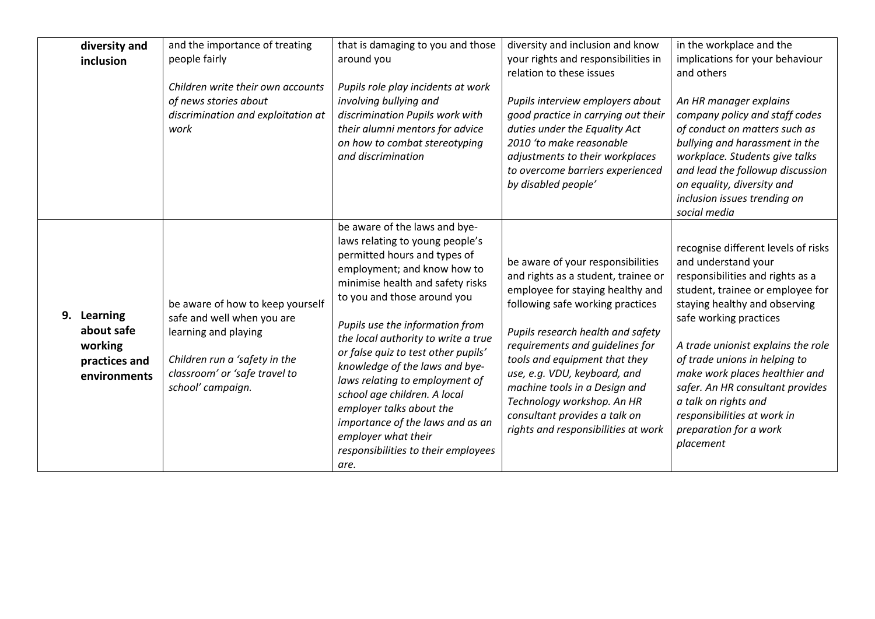| diversity and<br>inclusion                                               | and the importance of treating<br>people fairly<br>Children write their own accounts<br>of news stories about<br>discrimination and exploitation at<br>work                   | that is damaging to you and those<br>around you<br>Pupils role play incidents at work<br>involving bullying and<br>discrimination Pupils work with<br>their alumni mentors for advice<br>on how to combat stereotyping<br>and discrimination                                                                                                                                                                                                                                                                                                                  | diversity and inclusion and know<br>your rights and responsibilities in<br>relation to these issues<br>Pupils interview employers about<br>good practice in carrying out their<br>duties under the Equality Act<br>2010 'to make reasonable<br>adjustments to their workplaces<br>to overcome barriers experienced<br>by disabled people'                                                                                        | in the workplace and the<br>implications for your behaviour<br>and others<br>An HR manager explains<br>company policy and staff codes<br>of conduct on matters such as<br>bullying and harassment in the<br>workplace. Students give talks<br>and lead the followup discussion<br>on equality, diversity and<br>inclusion issues trending on<br>social media                                                                             |
|--------------------------------------------------------------------------|-------------------------------------------------------------------------------------------------------------------------------------------------------------------------------|---------------------------------------------------------------------------------------------------------------------------------------------------------------------------------------------------------------------------------------------------------------------------------------------------------------------------------------------------------------------------------------------------------------------------------------------------------------------------------------------------------------------------------------------------------------|----------------------------------------------------------------------------------------------------------------------------------------------------------------------------------------------------------------------------------------------------------------------------------------------------------------------------------------------------------------------------------------------------------------------------------|------------------------------------------------------------------------------------------------------------------------------------------------------------------------------------------------------------------------------------------------------------------------------------------------------------------------------------------------------------------------------------------------------------------------------------------|
| 9.<br>Learning<br>about safe<br>working<br>practices and<br>environments | be aware of how to keep yourself<br>safe and well when you are<br>learning and playing<br>Children run a 'safety in the<br>classroom' or 'safe travel to<br>school' campaign. | be aware of the laws and bye-<br>laws relating to young people's<br>permitted hours and types of<br>employment; and know how to<br>minimise health and safety risks<br>to you and those around you<br>Pupils use the information from<br>the local authority to write a true<br>or false quiz to test other pupils'<br>knowledge of the laws and bye-<br>laws relating to employment of<br>school age children. A local<br>employer talks about the<br>importance of the laws and as an<br>employer what their<br>responsibilities to their employees<br>are. | be aware of your responsibilities<br>and rights as a student, trainee or<br>employee for staying healthy and<br>following safe working practices<br>Pupils research health and safety<br>requirements and quidelines for<br>tools and equipment that they<br>use, e.g. VDU, keyboard, and<br>machine tools in a Design and<br>Technology workshop. An HR<br>consultant provides a talk on<br>rights and responsibilities at work | recognise different levels of risks<br>and understand your<br>responsibilities and rights as a<br>student, trainee or employee for<br>staying healthy and observing<br>safe working practices<br>A trade unionist explains the role<br>of trade unions in helping to<br>make work places healthier and<br>safer. An HR consultant provides<br>a talk on rights and<br>responsibilities at work in<br>preparation for a work<br>placement |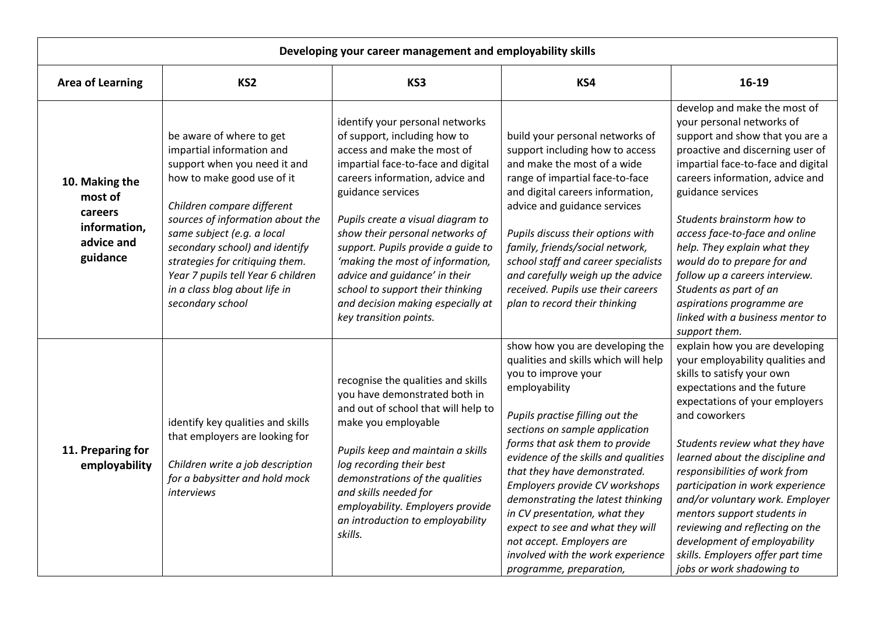| Developing your career management and employability skills                     |                                                                                                                                                                                                                                                                                                                                                                                     |                                                                                                                                                                                                                                                                                                                                                                                                                                                                                    |                                                                                                                                                                                                                                                                                                                                                                                                                                                                                                                                         |                                                                                                                                                                                                                                                                                                                                                                                                                                                                                                                                      |  |
|--------------------------------------------------------------------------------|-------------------------------------------------------------------------------------------------------------------------------------------------------------------------------------------------------------------------------------------------------------------------------------------------------------------------------------------------------------------------------------|------------------------------------------------------------------------------------------------------------------------------------------------------------------------------------------------------------------------------------------------------------------------------------------------------------------------------------------------------------------------------------------------------------------------------------------------------------------------------------|-----------------------------------------------------------------------------------------------------------------------------------------------------------------------------------------------------------------------------------------------------------------------------------------------------------------------------------------------------------------------------------------------------------------------------------------------------------------------------------------------------------------------------------------|--------------------------------------------------------------------------------------------------------------------------------------------------------------------------------------------------------------------------------------------------------------------------------------------------------------------------------------------------------------------------------------------------------------------------------------------------------------------------------------------------------------------------------------|--|
| <b>Area of Learning</b>                                                        | KS <sub>2</sub>                                                                                                                                                                                                                                                                                                                                                                     | KS3                                                                                                                                                                                                                                                                                                                                                                                                                                                                                | KS4                                                                                                                                                                                                                                                                                                                                                                                                                                                                                                                                     | 16-19                                                                                                                                                                                                                                                                                                                                                                                                                                                                                                                                |  |
| 10. Making the<br>most of<br>careers<br>information,<br>advice and<br>guidance | be aware of where to get<br>impartial information and<br>support when you need it and<br>how to make good use of it<br>Children compare different<br>sources of information about the<br>same subject (e.g. a local<br>secondary school) and identify<br>strategies for critiquing them.<br>Year 7 pupils tell Year 6 children<br>in a class blog about life in<br>secondary school | identify your personal networks<br>of support, including how to<br>access and make the most of<br>impartial face-to-face and digital<br>careers information, advice and<br>guidance services<br>Pupils create a visual diagram to<br>show their personal networks of<br>support. Pupils provide a guide to<br>'making the most of information,<br>advice and guidance' in their<br>school to support their thinking<br>and decision making especially at<br>key transition points. | build your personal networks of<br>support including how to access<br>and make the most of a wide<br>range of impartial face-to-face<br>and digital careers information,<br>advice and guidance services<br>Pupils discuss their options with<br>family, friends/social network,<br>school staff and career specialists<br>and carefully weigh up the advice<br>received. Pupils use their careers<br>plan to record their thinking                                                                                                     | develop and make the most of<br>your personal networks of<br>support and show that you are a<br>proactive and discerning user of<br>impartial face-to-face and digital<br>careers information, advice and<br>guidance services<br>Students brainstorm how to<br>access face-to-face and online<br>help. They explain what they<br>would do to prepare for and<br>follow up a careers interview.<br>Students as part of an<br>aspirations programme are<br>linked with a business mentor to<br>support them.                          |  |
| 11. Preparing for<br>employability                                             | identify key qualities and skills<br>that employers are looking for<br>Children write a job description<br>for a babysitter and hold mock<br>interviews                                                                                                                                                                                                                             | recognise the qualities and skills<br>you have demonstrated both in<br>and out of school that will help to<br>make you employable<br>Pupils keep and maintain a skills<br>log recording their best<br>demonstrations of the qualities<br>and skills needed for<br>employability. Employers provide<br>an introduction to employability<br>skills.                                                                                                                                  | show how you are developing the<br>qualities and skills which will help<br>you to improve your<br>employability<br>Pupils practise filling out the<br>sections on sample application<br>forms that ask them to provide<br>evidence of the skills and qualities<br>that they have demonstrated.<br>Employers provide CV workshops<br>demonstrating the latest thinking<br>in CV presentation, what they<br>expect to see and what they will<br>not accept. Employers are<br>involved with the work experience<br>programme, preparation, | explain how you are developing<br>your employability qualities and<br>skills to satisfy your own<br>expectations and the future<br>expectations of your employers<br>and coworkers<br>Students review what they have<br>learned about the discipline and<br>responsibilities of work from<br>participation in work experience<br>and/or voluntary work. Employer<br>mentors support students in<br>reviewing and reflecting on the<br>development of employability<br>skills. Employers offer part time<br>jobs or work shadowing to |  |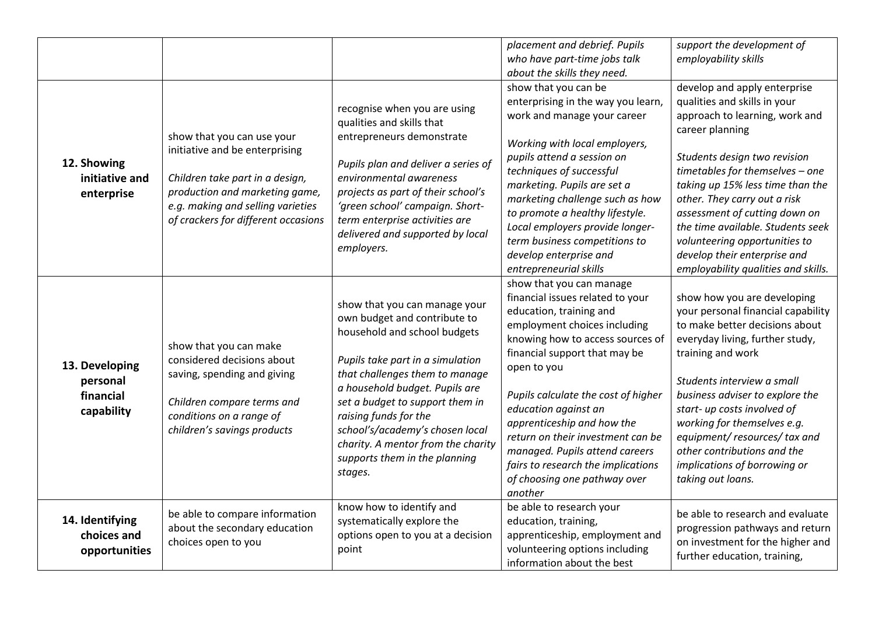|                                                       |                                                                                                                                                                                                               |                                                                                                                                                                                                                                                                                                                                                                                        | placement and debrief. Pupils<br>who have part-time jobs talk<br>about the skills they need.                                                                                                                                                                                                                                                                                                                                                                     | support the development of<br>employability skills                                                                                                                                                                                                                                                                                                                                                                                     |
|-------------------------------------------------------|---------------------------------------------------------------------------------------------------------------------------------------------------------------------------------------------------------------|----------------------------------------------------------------------------------------------------------------------------------------------------------------------------------------------------------------------------------------------------------------------------------------------------------------------------------------------------------------------------------------|------------------------------------------------------------------------------------------------------------------------------------------------------------------------------------------------------------------------------------------------------------------------------------------------------------------------------------------------------------------------------------------------------------------------------------------------------------------|----------------------------------------------------------------------------------------------------------------------------------------------------------------------------------------------------------------------------------------------------------------------------------------------------------------------------------------------------------------------------------------------------------------------------------------|
| 12. Showing<br>initiative and<br>enterprise           | show that you can use your<br>initiative and be enterprising<br>Children take part in a design,<br>production and marketing game,<br>e.g. making and selling varieties<br>of crackers for different occasions | recognise when you are using<br>qualities and skills that<br>entrepreneurs demonstrate<br>Pupils plan and deliver a series of<br>environmental awareness<br>projects as part of their school's<br>'green school' campaign. Short-<br>term enterprise activities are<br>delivered and supported by local<br>employers.                                                                  | show that you can be<br>enterprising in the way you learn,<br>work and manage your career<br>Working with local employers,<br>pupils attend a session on<br>techniques of successful<br>marketing. Pupils are set a<br>marketing challenge such as how<br>to promote a healthy lifestyle.<br>Local employers provide longer-<br>term business competitions to<br>develop enterprise and<br>entrepreneurial skills                                                | develop and apply enterprise<br>qualities and skills in your<br>approach to learning, work and<br>career planning<br>Students design two revision<br>timetables for themselves - one<br>taking up 15% less time than the<br>other. They carry out a risk<br>assessment of cutting down on<br>the time available. Students seek<br>volunteering opportunities to<br>develop their enterprise and<br>employability qualities and skills. |
| 13. Developing<br>personal<br>financial<br>capability | show that you can make<br>considered decisions about<br>saving, spending and giving<br>Children compare terms and<br>conditions on a range of<br>children's savings products                                  | show that you can manage your<br>own budget and contribute to<br>household and school budgets<br>Pupils take part in a simulation<br>that challenges them to manage<br>a household budget. Pupils are<br>set a budget to support them in<br>raising funds for the<br>school's/academy's chosen local<br>charity. A mentor from the charity<br>supports them in the planning<br>stages. | show that you can manage<br>financial issues related to your<br>education, training and<br>employment choices including<br>knowing how to access sources of<br>financial support that may be<br>open to you<br>Pupils calculate the cost of higher<br>education against an<br>apprenticeship and how the<br>return on their investment can be<br>managed. Pupils attend careers<br>fairs to research the implications<br>of choosing one pathway over<br>another | show how you are developing<br>your personal financial capability<br>to make better decisions about<br>everyday living, further study,<br>training and work<br>Students interview a small<br>business adviser to explore the<br>start- up costs involved of<br>working for themselves e.g.<br>equipment/resources/tax and<br>other contributions and the<br>implications of borrowing or<br>taking out loans.                          |
| 14. Identifying<br>choices and<br>opportunities       | be able to compare information<br>about the secondary education<br>choices open to you                                                                                                                        | know how to identify and<br>systematically explore the<br>options open to you at a decision<br>point                                                                                                                                                                                                                                                                                   | be able to research your<br>education, training,<br>apprenticeship, employment and<br>volunteering options including<br>information about the best                                                                                                                                                                                                                                                                                                               | be able to research and evaluate<br>progression pathways and return<br>on investment for the higher and<br>further education, training,                                                                                                                                                                                                                                                                                                |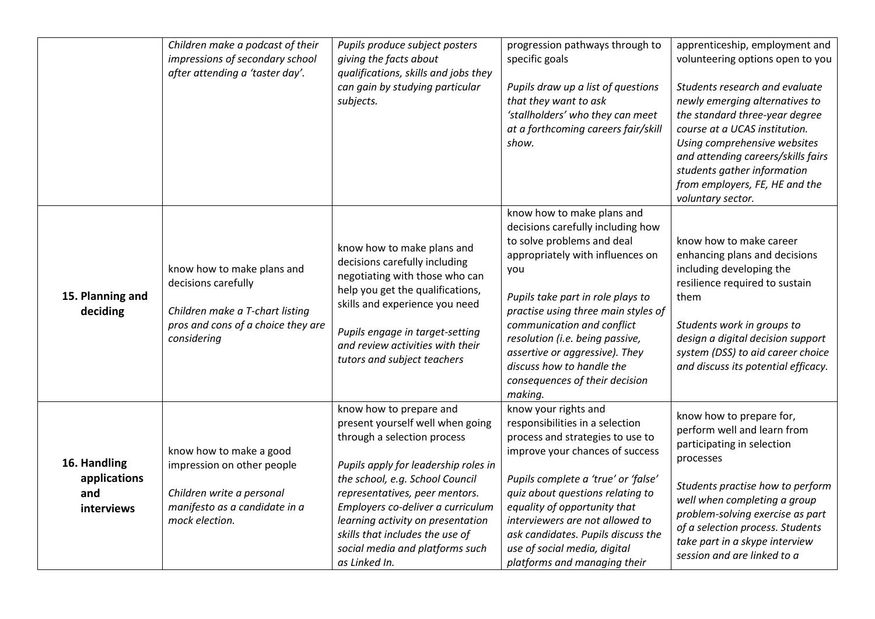|                                                   | Children make a podcast of their<br>impressions of secondary school<br>after attending a 'taster day'.                                    | Pupils produce subject posters<br>giving the facts about<br>qualifications, skills and jobs they<br>can gain by studying particular<br>subjects.                                                                                                                                                                                                                         | progression pathways through to<br>specific goals<br>Pupils draw up a list of questions<br>that they want to ask<br>'stallholders' who they can meet<br>at a forthcoming careers fair/skill<br>show.                                                                                                                                                                                              | apprenticeship, employment and<br>volunteering options open to you<br>Students research and evaluate<br>newly emerging alternatives to<br>the standard three-year degree<br>course at a UCAS institution.<br>Using comprehensive websites<br>and attending careers/skills fairs<br>students gather information<br>from employers, FE, HE and the<br>voluntary sector. |
|---------------------------------------------------|-------------------------------------------------------------------------------------------------------------------------------------------|--------------------------------------------------------------------------------------------------------------------------------------------------------------------------------------------------------------------------------------------------------------------------------------------------------------------------------------------------------------------------|---------------------------------------------------------------------------------------------------------------------------------------------------------------------------------------------------------------------------------------------------------------------------------------------------------------------------------------------------------------------------------------------------|-----------------------------------------------------------------------------------------------------------------------------------------------------------------------------------------------------------------------------------------------------------------------------------------------------------------------------------------------------------------------|
| 15. Planning and<br>deciding                      | know how to make plans and<br>decisions carefully<br>Children make a T-chart listing<br>pros and cons of a choice they are<br>considering | know how to make plans and<br>decisions carefully including<br>negotiating with those who can<br>help you get the qualifications,<br>skills and experience you need<br>Pupils engage in target-setting<br>and review activities with their<br>tutors and subject teachers                                                                                                | know how to make plans and<br>decisions carefully including how<br>to solve problems and deal<br>appropriately with influences on<br>you<br>Pupils take part in role plays to<br>practise using three main styles of<br>communication and conflict<br>resolution (i.e. being passive,<br>assertive or aggressive). They<br>discuss how to handle the<br>consequences of their decision<br>making. | know how to make career<br>enhancing plans and decisions<br>including developing the<br>resilience required to sustain<br>them<br>Students work in groups to<br>design a digital decision support<br>system (DSS) to aid career choice<br>and discuss its potential efficacy.                                                                                         |
| 16. Handling<br>applications<br>and<br>interviews | know how to make a good<br>impression on other people<br>Children write a personal<br>manifesto as a candidate in a<br>mock election.     | know how to prepare and<br>present yourself well when going<br>through a selection process<br>Pupils apply for leadership roles in<br>the school, e.g. School Council<br>representatives, peer mentors.<br>Employers co-deliver a curriculum<br>learning activity on presentation<br>skills that includes the use of<br>social media and platforms such<br>as Linked In. | know your rights and<br>responsibilities in a selection<br>process and strategies to use to<br>improve your chances of success<br>Pupils complete a 'true' or 'false'<br>quiz about questions relating to<br>equality of opportunity that<br>interviewers are not allowed to<br>ask candidates. Pupils discuss the<br>use of social media, digital<br>platforms and managing their                | know how to prepare for,<br>perform well and learn from<br>participating in selection<br>processes<br>Students practise how to perform<br>well when completing a group<br>problem-solving exercise as part<br>of a selection process. Students<br>take part in a skype interview<br>session and are linked to a                                                       |